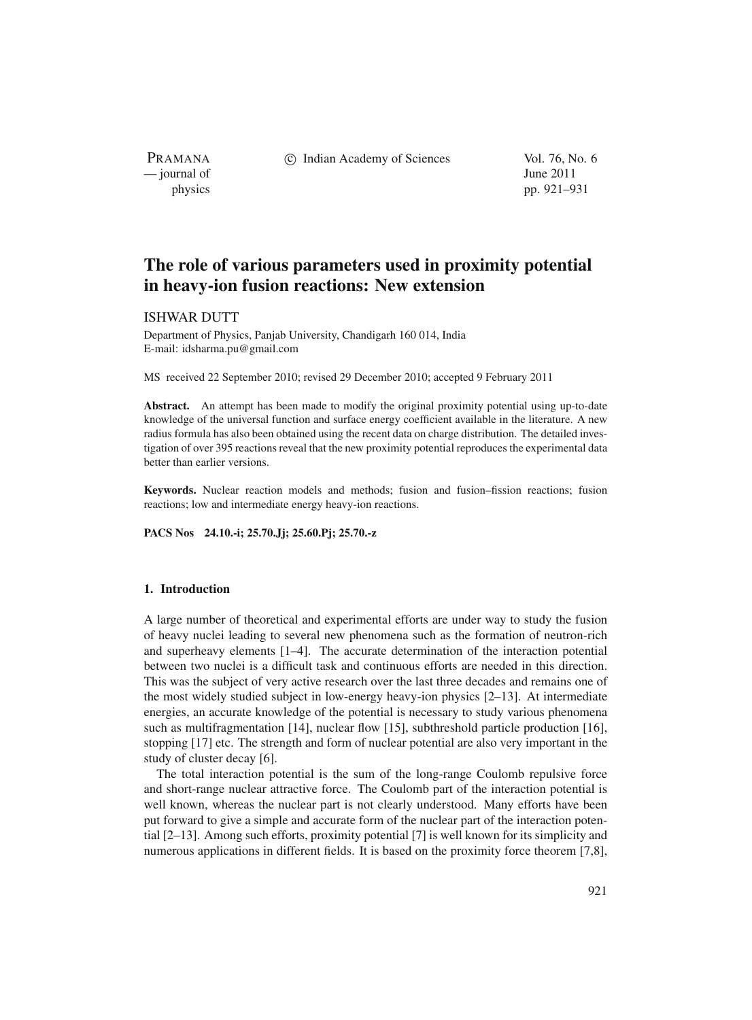PRAMANA — journal of June 2011

c Indian Academy of Sciences Vol. 76, No. 6

physics pp. 921–931

# **The role of various parameters used in proximity potential in heavy-ion fusion reactions: New extension**

# ISHWAR DUTT

Department of Physics, Panjab University, Chandigarh 160 014, India E-mail: idsharma.pu@gmail.com

MS received 22 September 2010; revised 29 December 2010; accepted 9 February 2011

**Abstract.** An attempt has been made to modify the original proximity potential using up-to-date knowledge of the universal function and surface energy coefficient available in the literature. A new radius formula has also been obtained using the recent data on charge distribution. The detailed investigation of over 395 reactions reveal that the new proximity potential reproduces the experimental data better than earlier versions.

**Keywords.** Nuclear reaction models and methods; fusion and fusion–fission reactions; fusion reactions; low and intermediate energy heavy-ion reactions.

**PACS Nos 24.10.-i; 25.70.Jj; 25.60.Pj; 25.70.-z**

## **1. Introduction**

A large number of theoretical and experimental efforts are under way to study the fusion of heavy nuclei leading to several new phenomena such as the formation of neutron-rich and superheavy elements [1–4]. The accurate determination of the interaction potential between two nuclei is a difficult task and continuous efforts are needed in this direction. This was the subject of very active research over the last three decades and remains one of the most widely studied subject in low-energy heavy-ion physics [2–13]. At intermediate energies, an accurate knowledge of the potential is necessary to study various phenomena such as multifragmentation [14], nuclear flow [15], subthreshold particle production [16], stopping [17] etc. The strength and form of nuclear potential are also very important in the study of cluster decay [6].

The total interaction potential is the sum of the long-range Coulomb repulsive force and short-range nuclear attractive force. The Coulomb part of the interaction potential is well known, whereas the nuclear part is not clearly understood. Many efforts have been put forward to give a simple and accurate form of the nuclear part of the interaction potential [2–13]. Among such efforts, proximity potential [7] is well known for its simplicity and numerous applications in different fields. It is based on the proximity force theorem [7,8],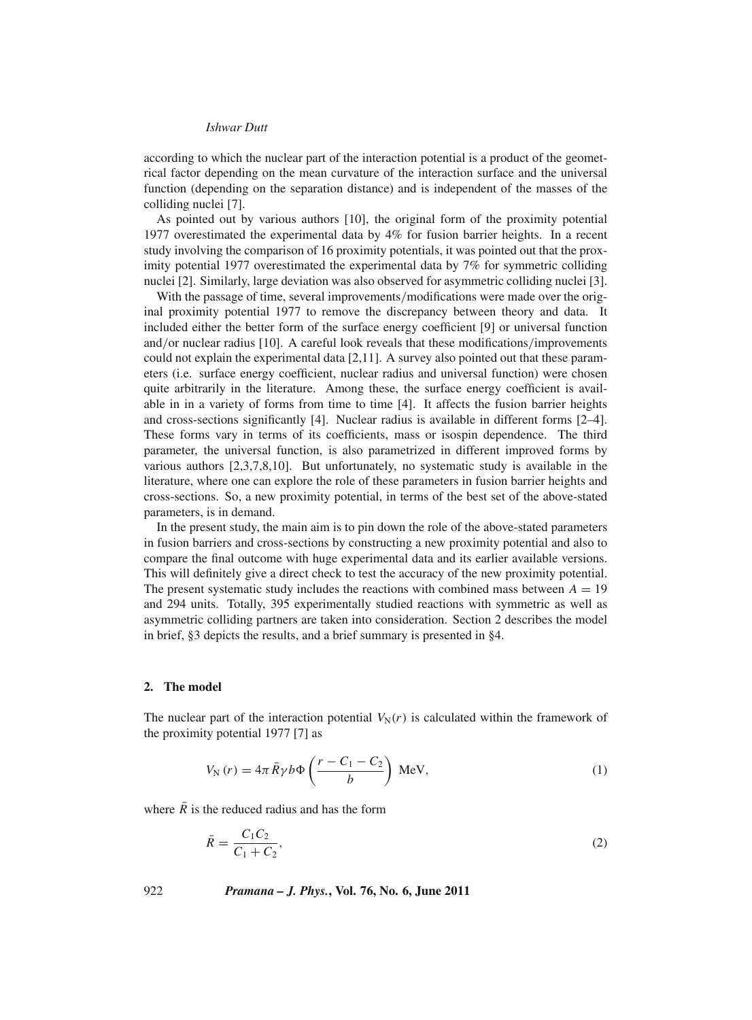according to which the nuclear part of the interaction potential is a product of the geometrical factor depending on the mean curvature of the interaction surface and the universal function (depending on the separation distance) and is independent of the masses of the colliding nuclei [7].

As pointed out by various authors [10], the original form of the proximity potential 1977 overestimated the experimental data by 4% for fusion barrier heights. In a recent study involving the comparison of 16 proximity potentials, it was pointed out that the proximity potential 1977 overestimated the experimental data by 7% for symmetric colliding nuclei [2]. Similarly, large deviation was also observed for asymmetric colliding nuclei [3].

With the passage of time, several improvements/modifications were made over the original proximity potential 1977 to remove the discrepancy between theory and data. It included either the better form of the surface energy coefficient [9] or universal function and/or nuclear radius [10]. A careful look reveals that these modifications/improvements could not explain the experimental data [2,11]. A survey also pointed out that these parameters (i.e. surface energy coefficient, nuclear radius and universal function) were chosen quite arbitrarily in the literature. Among these, the surface energy coefficient is available in in a variety of forms from time to time [4]. It affects the fusion barrier heights and cross-sections significantly [4]. Nuclear radius is available in different forms [2–4]. These forms vary in terms of its coefficients, mass or isospin dependence. The third parameter, the universal function, is also parametrized in different improved forms by various authors [2,3,7,8,10]. But unfortunately, no systematic study is available in the literature, where one can explore the role of these parameters in fusion barrier heights and cross-sections. So, a new proximity potential, in terms of the best set of the above-stated parameters, is in demand.

In the present study, the main aim is to pin down the role of the above-stated parameters in fusion barriers and cross-sections by constructing a new proximity potential and also to compare the final outcome with huge experimental data and its earlier available versions. This will definitely give a direct check to test the accuracy of the new proximity potential. The present systematic study includes the reactions with combined mass between  $A = 19$ and 294 units. Totally, 395 experimentally studied reactions with symmetric as well as asymmetric colliding partners are taken into consideration. Section 2 describes the model in brief, §3 depicts the results, and a brief summary is presented in §4.

## **2. The model**

The nuclear part of the interaction potential  $V_N(r)$  is calculated within the framework of the proximity potential 1977 [7] as

$$
V_{\rm N}(r) = 4\pi \bar{R} \gamma b \Phi \left( \frac{r - C_1 - C_2}{b} \right) \text{MeV},\tag{1}
$$

where  $\overline{R}$  is the reduced radius and has the form

$$
\bar{R} = \frac{C_1 C_2}{C_1 + C_2},\tag{2}
$$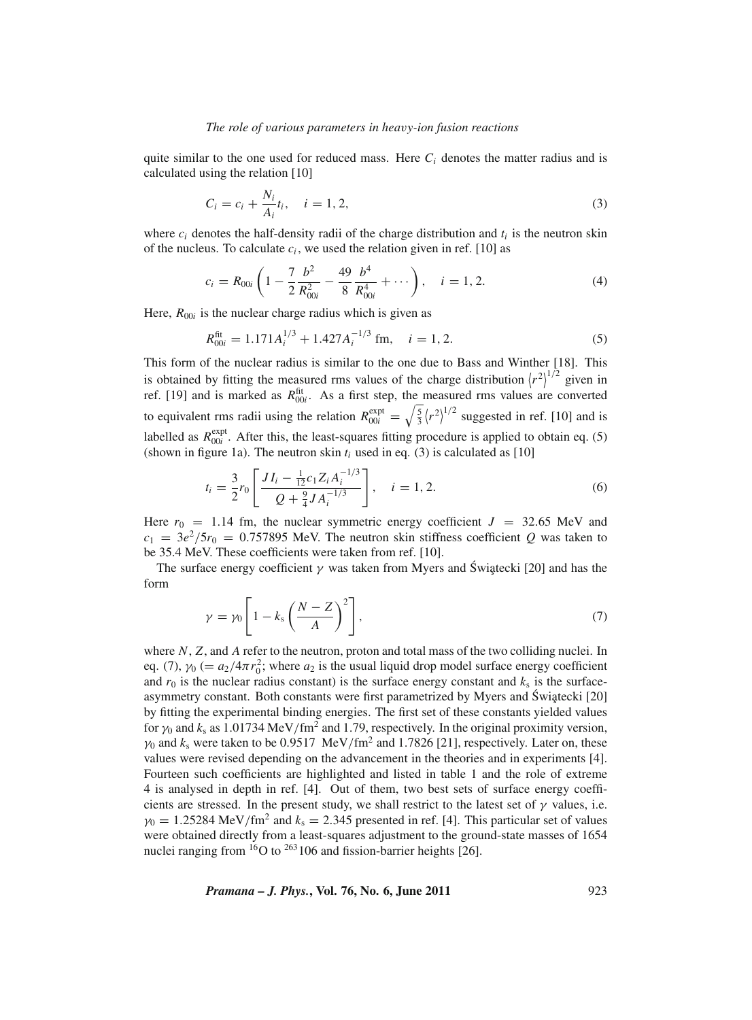#### *The role of* v*arious parameters in hea*v*y-ion fusion reactions*

quite similar to the one used for reduced mass. Here  $C_i$  denotes the matter radius and is calculated using the relation [10]

$$
C_i = c_i + \frac{N_i}{A_i}t_i, \quad i = 1, 2,
$$
\n(3)

where  $c_i$  denotes the half-density radii of the charge distribution and  $t_i$  is the neutron skin of the nucleus. To calculate  $c_i$ , we used the relation given in ref. [10] as

$$
c_i = R_{00i} \left( 1 - \frac{7}{2} \frac{b^2}{R_{00i}^2} - \frac{49}{8} \frac{b^4}{R_{00i}^4} + \cdots \right), \quad i = 1, 2.
$$
 (4)

Here,  $R_{00i}$  is the nuclear charge radius which is given as

$$
R_{00i}^{\text{fit}} = 1.171 A_i^{1/3} + 1.427 A_i^{-1/3} \text{ fm}, \quad i = 1, 2. \tag{5}
$$

This form of the nuclear radius is similar to the one due to Bass and Winther [18]. This is obtained by fitting the measured rms values of the charge distribution  $\langle r^2 \rangle^{1/2}$  given in ref. [19] and is marked as  $R_{00i}^{\text{fit}}$ . As a first step, the measured rms values are converted to equivalent rms radii using the relation  $R_{00i}^{\text{expt}} = \sqrt{\frac{5}{3}} (r^2)^{1/2}$  suggested in ref. [10] and is labelled as  $R_{00i}^{\text{expt}}$ . After this, the least-squares fitting procedure is applied to obtain eq. (5) (shown in figure 1a). The neutron skin  $t_i$  used in eq. (3) is calculated as [10]

$$
t_i = \frac{3}{2} r_0 \left[ \frac{J I_i - \frac{1}{12} c_1 Z_i A_i^{-1/3}}{Q + \frac{9}{4} J A_i^{-1/3}} \right], \quad i = 1, 2.
$$
 (6)

Here  $r_0$  = 1.14 fm, the nuclear symmetric energy coefficient  $J = 32.65$  MeV and  $c_1 = 3e^2/5r_0 = 0.757895$  MeV. The neutron skin stiffness coefficient *Q* was taken to be 35.4 MeV. These coefficients were taken from ref. [10].

The surface energy coefficient  $\gamma$  was taken from Myers and Świątecki [20] and has the form

$$
\gamma = \gamma_0 \left[ 1 - k_s \left( \frac{N - Z}{A} \right)^2 \right],\tag{7}
$$

where *N*, *Z*, and *A* refer to the neutron, proton and total mass of the two colliding nuclei. In eq. (7),  $\gamma_0$  (=  $a_2/4\pi r_0^2$ ; where  $a_2$  is the usual liquid drop model surface energy coefficient and  $r_0$  is the nuclear radius constant) is the surface energy constant and  $k_s$  is the surfaceasymmetry constant. Both constants were first parametrized by Myers and Świątecki [20] by fitting the experimental binding energies. The first set of these constants yielded values for  $\gamma_0$  and  $k_s$  as 1.01734 MeV/fm<sup>2</sup> and 1.79, respectively. In the original proximity version,  $\gamma_0$  and  $k_s$  were taken to be 0.9517 MeV/fm<sup>2</sup> and 1.7826 [21], respectively. Later on, these values were revised depending on the advancement in the theories and in experiments [4]. Fourteen such coefficients are highlighted and listed in table 1 and the role of extreme 4 is analysed in depth in ref. [4]. Out of them, two best sets of surface energy coefficients are stressed. In the present study, we shall restrict to the latest set of  $\gamma$  values, i.e.  $\gamma_0 = 1.25284 \text{ MeV/fm}^2$  and  $k_s = 2.345$  presented in ref. [4]. This particular set of values were obtained directly from a least-squares adjustment to the ground-state masses of 1654 nuclei ranging from  $16$ O to  $263106$  and fission-barrier heights [26].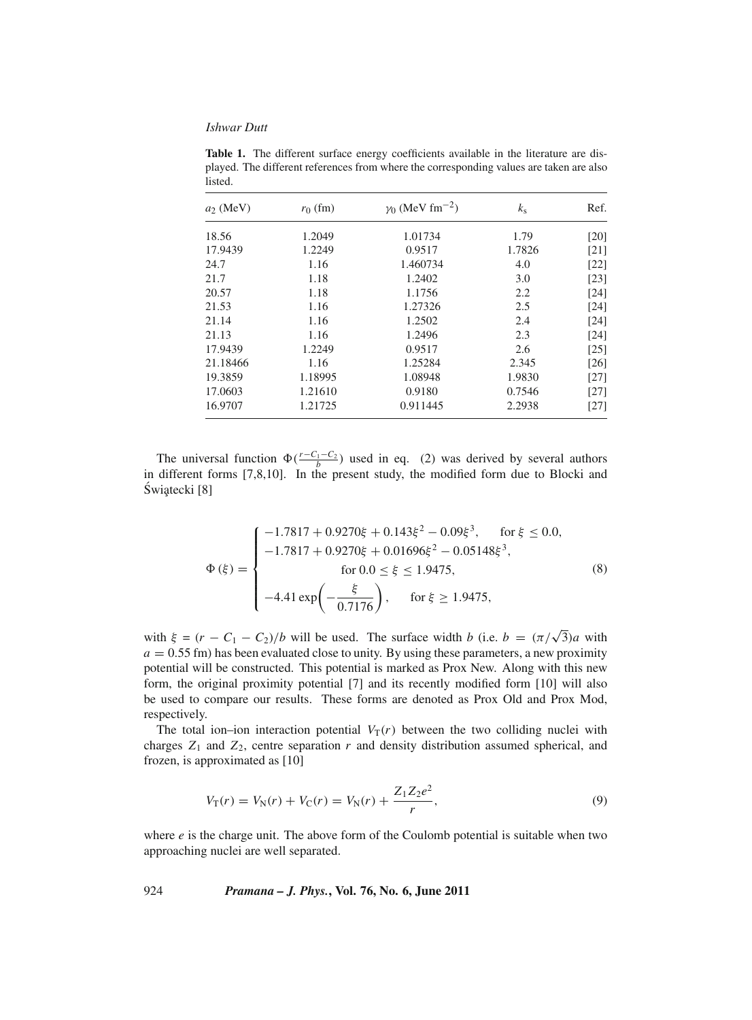**Table 1.** The different surface energy coefficients available in the literature are displayed. The different references from where the corresponding values are taken are also listed.

| $a_2$ (MeV) | $r_0$ (fm) | $\gamma_0$ (MeV fm <sup>-2</sup> ) | $k_{\rm s}$ | Ref. |
|-------------|------------|------------------------------------|-------------|------|
| 18.56       | 1.2049     | 1.01734                            | 1.79        | [20] |
| 17.9439     | 1.2249     | 0.9517                             | 1.7826      | [21] |
| 24.7        | 1.16       | 1.460734                           | 4.0         | [22] |
| 21.7        | 1.18       | 1.2402                             | 3.0         | [23] |
| 20.57       | 1.18       | 1.1756                             | 2.2         | [24] |
| 21.53       | 1.16       | 1.27326                            | 2.5         | [24] |
| 21.14       | 1.16       | 1.2502                             | 2.4         | [24] |
| 21.13       | 1.16       | 1.2496                             | 2.3         | [24] |
| 17.9439     | 1.2249     | 0.9517                             | 2.6         | [25] |
| 21.18466    | 1.16       | 1.25284                            | 2.345       | [26] |
| 19.3859     | 1.18995    | 1.08948                            | 1.9830      | [27] |
| 17.0603     | 1.21610    | 0.9180                             | 0.7546      | [27] |
| 16.9707     | 1.21725    | 0.911445                           | 2.2938      | [27] |

The universal function  $\Phi(\frac{r-C_1-C_2}{b})$  used in eq. (2) was derived by several authors in different forms [7,8,10]. In the present study, the modified form due to Blocki and Świątecki [8]

$$
\Phi(\xi) = \begin{cases}\n-1.7817 + 0.9270\xi + 0.143\xi^2 - 0.09\xi^3, & \text{for } \xi \le 0.0, \\
-1.7817 + 0.9270\xi + 0.01696\xi^2 - 0.05148\xi^3, \\
 & \text{for } 0.0 \le \xi \le 1.9475, \\
-4.41 \exp\left(-\frac{\xi}{0.7176}\right), & \text{for } \xi \ge 1.9475,\n\end{cases}
$$
\n(8)

with  $\xi = (r - C_1 - C_2)/b$  will be used. The surface width *b* (i.e.  $b = (\pi/\sqrt{3})a$  with  $a = 0.55$  fm) has been evaluated close to unity. By using these parameters, a new proximity potential will be constructed. This potential is marked as Prox New. Along with this new form, the original proximity potential [7] and its recently modified form [10] will also be used to compare our results. These forms are denoted as Prox Old and Prox Mod, respectively.

The total ion–ion interaction potential  $V_T(r)$  between the two colliding nuclei with charges  $Z_1$  and  $Z_2$ , centre separation  $r$  and density distribution assumed spherical, and frozen, is approximated as [10]

$$
V_{\rm T}(r) = V_{\rm N}(r) + V_{\rm C}(r) = V_{\rm N}(r) + \frac{Z_1 Z_2 e^2}{r},\tag{9}
$$

where  $e$  is the charge unit. The above form of the Coulomb potential is suitable when two approaching nuclei are well separated.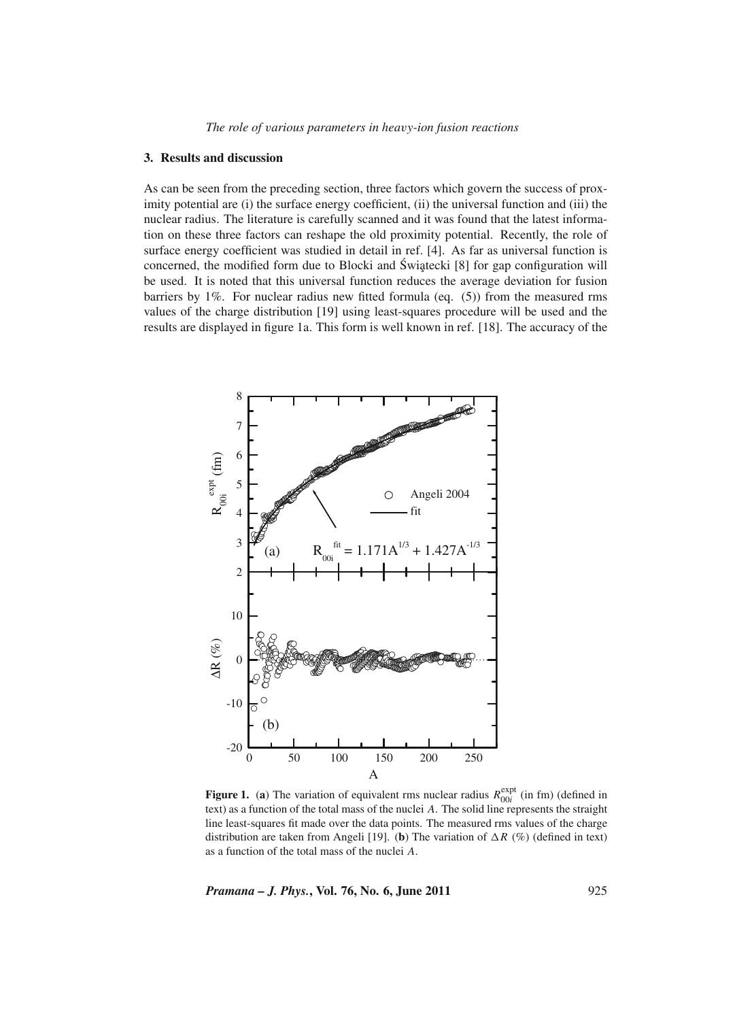### **3. Results and discussion**

As can be seen from the preceding section, three factors which govern the success of proximity potential are (i) the surface energy coefficient, (ii) the universal function and (iii) the nuclear radius. The literature is carefully scanned and it was found that the latest information on these three factors can reshape the old proximity potential. Recently, the role of surface energy coefficient was studied in detail in ref. [4]. As far as universal function is concerned, the modified form due to Blocki and Świątecki  $[8]$  for gap configuration will be used. It is noted that this universal function reduces the average deviation for fusion barriers by 1%. For nuclear radius new fitted formula (eq. (5)) from the measured rms values of the charge distribution [19] using least-squares procedure will be used and the results are displayed in figure 1a. This form is well known in ref. [18]. The accuracy of the



**Figure 1.** (a) The variation of equivalent rms nuclear radius  $R_{00i}^{\text{expt}}$  (in fm) (defined in text) as a function of the total mass of the nuclei *A*. The solid line represents the straight line least-squares fit made over the data points. The measured rms values of the charge distribution are taken from Angeli [19]. (**b**) The variation of  $\Delta R$  (%) (defined in text) as a function of the total mass of the nuclei *A*.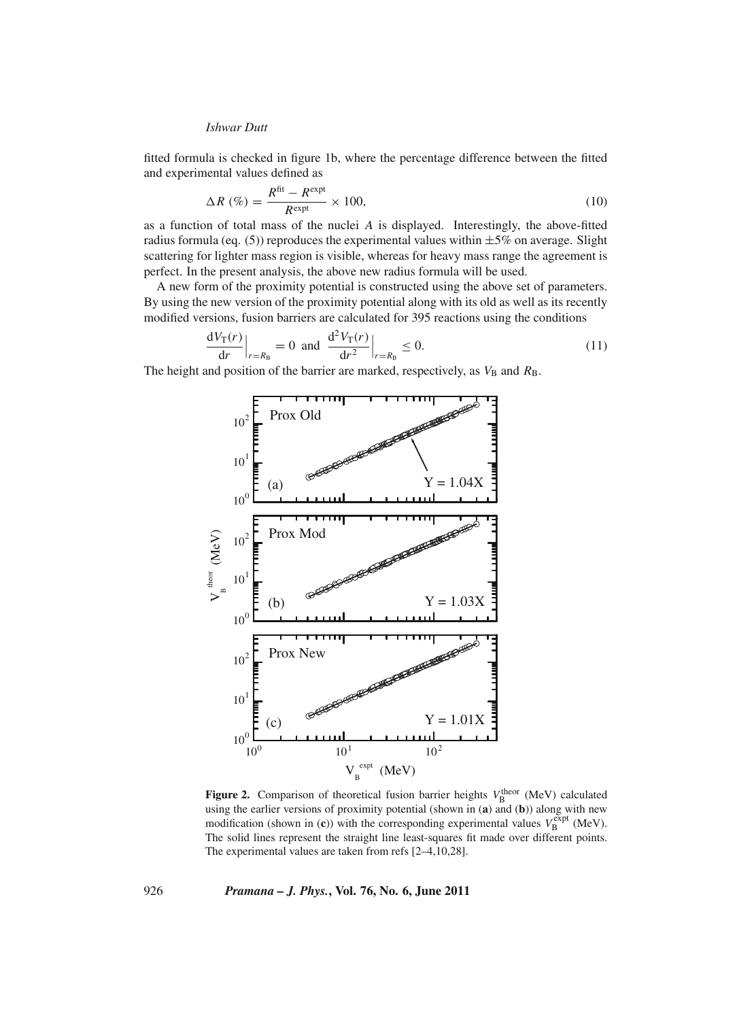fitted formula is checked in figure 1b, where the percentage difference between the fitted and experimental values defined as

$$
\Delta R\ (\%) = \frac{R^{\text{fit}} - R^{\text{expt}}}{R^{\text{expt}}} \times 100,\tag{10}
$$

as a function of total mass of the nuclei *A* is displayed. Interestingly, the above-fitted radius formula (eq. (5)) reproduces the experimental values within  $\pm 5\%$  on average. Slight scattering for lighter mass region is visible, whereas for heavy mass range the agreement is perfect. In the present analysis, the above new radius formula will be used.

A new form of the proximity potential is constructed using the above set of parameters. By using the new version of the proximity potential along with its old as well as its recently modified versions, fusion barriers are calculated for 395 reactions using the conditions

$$
\frac{dV_T(r)}{dr}\Big|_{r=R_B} = 0 \text{ and } \frac{d^2V_T(r)}{dr^2}\Big|_{r=R_B} \le 0. \tag{11}
$$

The height and position of the barrier are marked, respectively, as  $V<sub>B</sub>$  and  $R<sub>B</sub>$ .



**Figure 2.** Comparison of theoretical fusion barrier heights  $V_B^{\text{theor}}$  (MeV) calculated using the earlier versions of proximity potential (shown in (**a**) and (**b**)) along with new modification (shown in (**c**)) with the corresponding experimental values  $V_B^{\text{expt}}$  (MeV). The solid lines represent the straight line least-squares fit made over different points. The experimental values are taken from refs [2–4,10,28].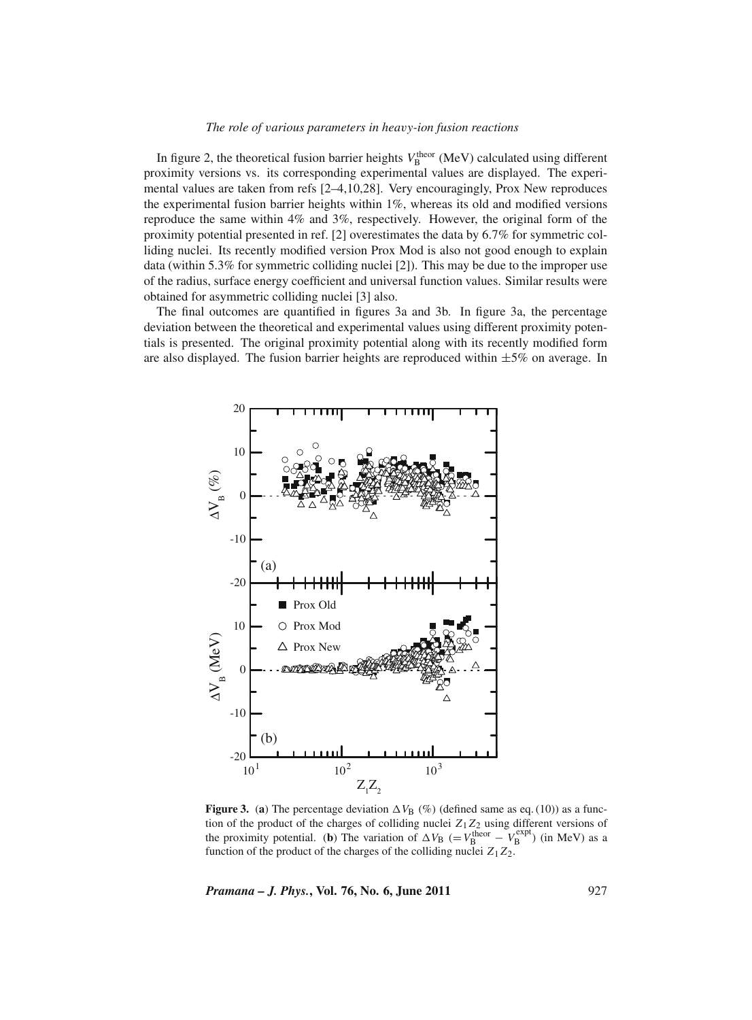#### *The role of* v*arious parameters in hea*v*y-ion fusion reactions*

In figure 2, the theoretical fusion barrier heights  $V_B^{\text{theor}}$  (MeV) calculated using different proximity versions vs. its corresponding experimental values are displayed. The experimental values are taken from refs [2–4,10,28]. Very encouragingly, Prox New reproduces the experimental fusion barrier heights within 1%, whereas its old and modified versions reproduce the same within 4% and 3%, respectively. However, the original form of the proximity potential presented in ref. [2] overestimates the data by 6.7% for symmetric colliding nuclei. Its recently modified version Prox Mod is also not good enough to explain data (within 5.3% for symmetric colliding nuclei [2]). This may be due to the improper use of the radius, surface energy coefficient and universal function values. Similar results were obtained for asymmetric colliding nuclei [3] also.

The final outcomes are quantified in figures 3a and 3b. In figure 3a, the percentage deviation between the theoretical and experimental values using different proximity potentials is presented. The original proximity potential along with its recently modified form are also displayed. The fusion barrier heights are reproduced within  $\pm 5\%$  on average. In



**Figure 3.** (a) The percentage deviation  $\Delta V_B$  (%) (defined same as eq. (10)) as a function of the product of the charges of colliding nuclei *Z*1*Z*<sup>2</sup> using different versions of the proximity potential. (**b**) The variation of  $\Delta V_B$  (=  $V_B^{\text{theor}} - V_B^{\text{expt}}$ ) (in MeV) as a function of the product of the charges of the colliding nuclei  $Z_1 Z_2$ .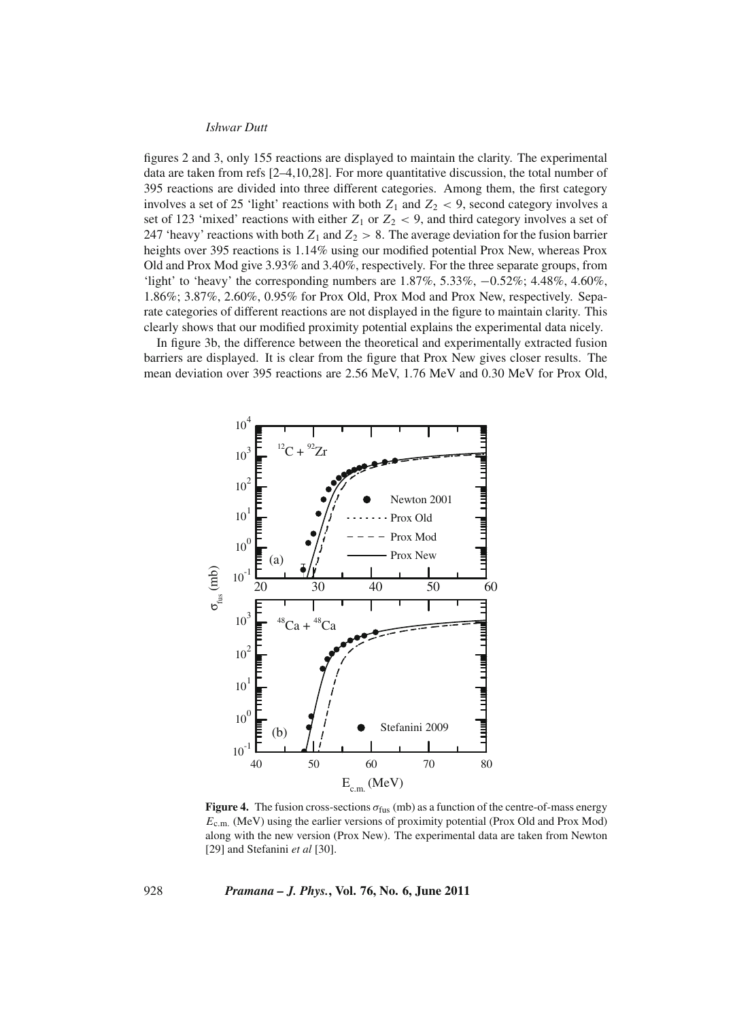figures 2 and 3, only 155 reactions are displayed to maintain the clarity. The experimental data are taken from refs  $[2-4,10,28]$ . For more quantitative discussion, the total number of 395 reactions are divided into three different categories. Among them, the first category involves a set of 25 'light' reactions with both  $Z_1$  and  $Z_2$  < 9, second category involves a set of 123 'mixed' reactions with either  $Z_1$  or  $Z_2 < 9$ , and third category involves a set of 247 'heavy' reactions with both  $Z_1$  and  $Z_2 > 8$ . The average deviation for the fusion barrier heights over 395 reactions is 1.14% using our modified potential Prox New, whereas Prox Old and Prox Mod give 3.93% and 3.40%, respectively. For the three separate groups, from 'light' to 'heavy' the corresponding numbers are 1.87%, 5.33%, −0.52%; 4.48%, 4.60%, 1.86%; 3.87%, 2.60%, 0.95% for Prox Old, Prox Mod and Prox New, respectively. Separate categories of different reactions are not displayed in the figure to maintain clarity. This clearly shows that our modified proximity potential explains the experimental data nicely.

In figure 3b, the difference between the theoretical and experimentally extracted fusion barriers are displayed. It is clear from the figure that Prox New gives closer results. The mean deviation over 395 reactions are 2.56 MeV, 1.76 MeV and 0.30 MeV for Prox Old,



**Figure 4.** The fusion cross-sections  $\sigma_{\text{fus}}$  (mb) as a function of the centre-of-mass energy *E*c.m. (MeV) using the earlier versions of proximity potential (Prox Old and Prox Mod) along with the new version (Prox New). The experimental data are taken from Newton [29] and Stefanini *et al* [30].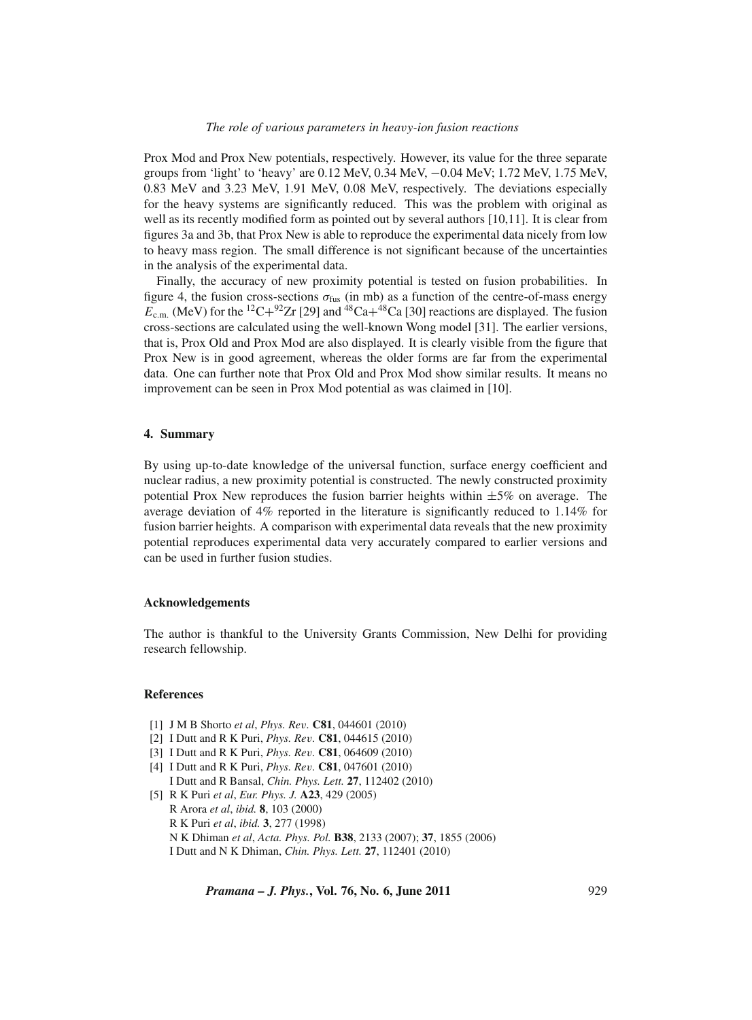Prox Mod and Prox New potentials, respectively. However, its value for the three separate groups from 'light' to 'heavy' are 0.12 MeV, 0.34 MeV, −0.04 MeV; 1.72 MeV, 1.75 MeV, 0.83 MeV and 3.23 MeV, 1.91 MeV, 0.08 MeV, respectively. The deviations especially for the heavy systems are significantly reduced. This was the problem with original as well as its recently modified form as pointed out by several authors [10,11]. It is clear from figures 3a and 3b, that Prox New is able to reproduce the experimental data nicely from low to heavy mass region. The small difference is not significant because of the uncertainties in the analysis of the experimental data.

Finally, the accuracy of new proximity potential is tested on fusion probabilities. In figure 4, the fusion cross-sections  $\sigma_{\text{fus}}$  (in mb) as a function of the centre-of-mass energy  $E_{\rm c.m.}$  (MeV) for the <sup>12</sup>C+<sup>92</sup>Zr [29] and <sup>48</sup>Ca+<sup>48</sup>Ca [30] reactions are displayed. The fusion cross-sections are calculated using the well-known Wong model [31]. The earlier versions, that is, Prox Old and Prox Mod are also displayed. It is clearly visible from the figure that Prox New is in good agreement, whereas the older forms are far from the experimental data. One can further note that Prox Old and Prox Mod show similar results. It means no improvement can be seen in Prox Mod potential as was claimed in [10].

#### **4. Summary**

By using up-to-date knowledge of the universal function, surface energy coefficient and nuclear radius, a new proximity potential is constructed. The newly constructed proximity potential Prox New reproduces the fusion barrier heights within  $\pm 5\%$  on average. The average deviation of 4% reported in the literature is significantly reduced to 1.14% for fusion barrier heights. A comparison with experimental data reveals that the new proximity potential reproduces experimental data very accurately compared to earlier versions and can be used in further fusion studies.

## **Acknowledgements**

The author is thankful to the University Grants Commission, New Delhi for providing research fellowship.

## **References**

- [1] J M B Shorto *et al*, *Phys. Re*v*.* **C81**, 044601 (2010)
- [2] I Dutt and R K Puri, *Phys. Re*v*.* **C81**, 044615 (2010)
- [3] I Dutt and R K Puri, *Phys. Re*v*.* **C81**, 064609 (2010)
- [4] I Dutt and R K Puri, *Phys. Re*v*.* **C81**, 047601 (2010) I Dutt and R Bansal, *Chin. Phys. Lett.* **27**, 112402 (2010)
- [5] R K Puri *et al*, *Eur. Phys. J.* **A23**, 429 (2005) R Arora *et al*, *ibid.* **8**, 103 (2000) R K Puri *et al*, *ibid.* **3**, 277 (1998)
	- N K Dhiman *et al*, *Acta. Phys. Pol.* **B38**, 2133 (2007); **37**, 1855 (2006) I Dutt and N K Dhiman, *Chin. Phys. Lett.* **27**, 112401 (2010)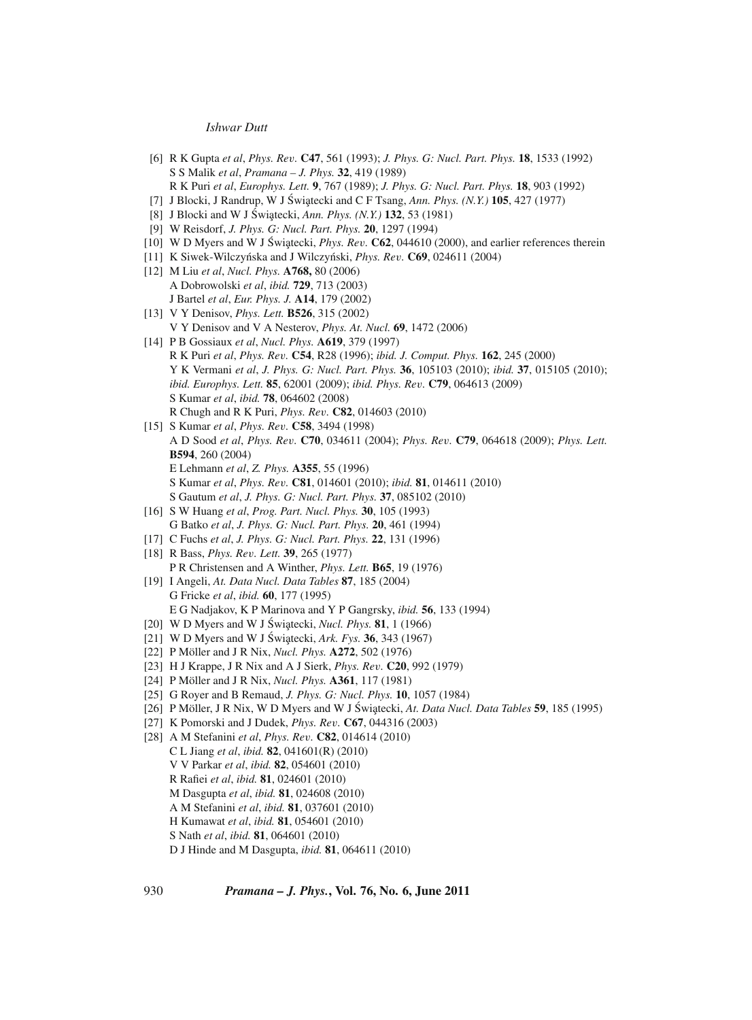- [6] R K Gupta *et al*, *Phys. Re*v*.* **C47**, 561 (1993); *J. Phys. G: Nucl. Part. Phys.* **18**, 1533 (1992) S S Malik *et al*, *Pramana – J. Phys.* **32**, 419 (1989) R K Puri *et al*, *Europhys. Lett.* **9**, 767 (1989); *J. Phys. G: Nucl. Part. Phys.* **18**, 903 (1992)
- [7] J Blocki, J Randrup, W J Świątecki and C F Tsang, *Ann. Phys. (N.Y.)* 105, 427 (1977)
- [8] J Blocki and W J Świątecki, *Ann. Phys. (N.Y.*) **132**, 53 (1981)
- [9] W Reisdorf, *J. Phys. G: Nucl. Part. Phys.* **20**, 1297 (1994)
- $[10]$  W D Myers and W J Świątecki, *Phys. Rev.* **C62**, 044610 (2000), and earlier references therein
- [11] K Siwek-Wilczyńska and J Wilczyński, *Phys. Rev.* **C69**, 024611 (2004)
- [12] M Liu *et al*, *Nucl. Phys.* **A768,** 80 (2006) A Dobrowolski *et al*, *ibid.* **729**, 713 (2003) J Bartel *et al*, *Eur. Phys. J.* **A14**, 179 (2002)
- [13] V Y Denisov, *Phys. Lett.* **B526**, 315 (2002) V Y Denisov and V A Nesterov, *Phys. At. Nucl.* **69**, 1472 (2006)
- [14] P B Gossiaux *et al*, *Nucl. Phys.* **A619**, 379 (1997) R K Puri *et al*, *Phys. Re*v*.* **C54**, R28 (1996); *ibid. J. Comput. Phys.* **162**, 245 (2000) Y K Vermani *et al*, *J. Phys. G: Nucl. Part. Phys.* **36**, 105103 (2010); *ibid.* **37**, 015105 (2010); *ibid. Europhys. Lett.* **85**, 62001 (2009); *ibid. Phys. Re*v*.* **C79**, 064613 (2009) S Kumar *et al*, *ibid.* **78**, 064602 (2008) R Chugh and R K Puri, *Phys. Re*v*.* **C82**, 014603 (2010)
- [15] S Kumar *et al*, *Phys. Re*v*.* **C58**, 3494 (1998) A D Sood *et al*, *Phys. Re*v*.* **C70**, 034611 (2004); *Phys. Re*v*.* **C79**, 064618 (2009); *Phys. Lett.* **B594**, 260 (2004) E Lehmann *et al*, *Z. Phys.* **A355**, 55 (1996) S Kumar *et al*, *Phys. Re*v*.* **C81**, 014601 (2010); *ibid.* **81**, 014611 (2010) S Gautum *et al*, *J. Phys. G: Nucl. Part. Phys.* **37**, 085102 (2010)
- [16] S W Huang *et al*, *Prog. Part. Nucl. Phys.* **30**, 105 (1993) G Batko *et al*, *J. Phys. G: Nucl. Part. Phys.* **20**, 461 (1994)
- [17] C Fuchs *et al*, *J. Phys. G: Nucl. Part. Phys.* **22**, 131 (1996)
- [18] R Bass, *Phys. Re*v*. Lett.* **39**, 265 (1977) P R Christensen and A Winther, *Phys. Lett.* **B65**, 19 (1976)
- [19] I Angeli, *At. Data Nucl. Data Tables* **87**, 185 (2004) G Fricke *et al*, *ibid.* **60**, 177 (1995) E G Nadjakov, K P Marinova and Y P Gangrsky, *ibid.* **56**, 133 (1994)
- [20] W D Myers and W J Świątecki, *Nucl. Phys.* **81**, 1 (1966)
- [21] W D Myers and W J Świątecki, *Ark. Fys.* **36**, 343 (1967)
- [22] P Möller and J R Nix, *Nucl. Phys.* **A272**, 502 (1976)
- [23] H J Krappe, J R Nix and A J Sierk, *Phys. Re*v*.* **C20**, 992 (1979)
- [24] P Möller and J R Nix, *Nucl. Phys.* **A361**, 117 (1981)
- [25] G Royer and B Remaud, *J. Phys. G: Nucl. Phys.* **10**, 1057 (1984)
- [26] P Möller, J R Nix, W D Myers and W J Świątecki, At. Data Nucl. Data Tables 59, 185 (1995)
- [27] K Pomorski and J Dudek, *Phys. Re*v*.* **C67**, 044316 (2003)
- [28] A M Stefanini *et al*, *Phys. Re*v*.* **C82**, 014614 (2010) C L Jiang *et al*, *ibid.* **82**, 041601(R) (2010) V V Parkar *et al*, *ibid.* **82**, 054601 (2010) R Rafiei *et al*, *ibid.* **81**, 024601 (2010) M Dasgupta *et al*, *ibid.* **81**, 024608 (2010) A M Stefanini *et al*, *ibid.* **81**, 037601 (2010) H Kumawat *et al*, *ibid.* **81**, 054601 (2010)
	- S Nath *et al*, *ibid.* **81**, 064601 (2010)
	- D J Hinde and M Dasgupta, *ibid.* **81**, 064611 (2010)